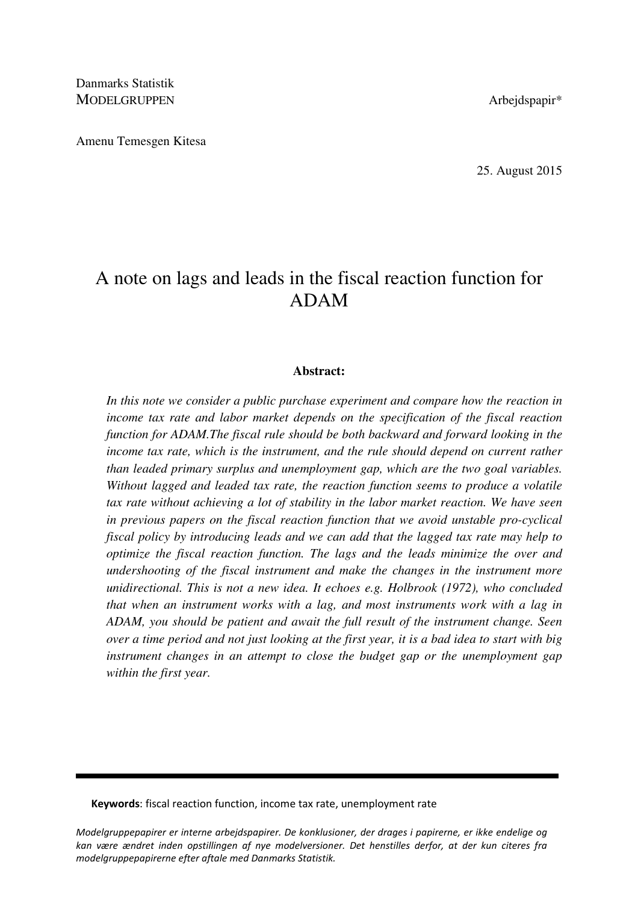Danmarks Statistik MODELGRUPPEN Arbejdspapir\*

Amenu Temesgen Kitesa

25. August 2015

# A note on lags and leads in the fiscal reaction function for ADAM

## **Abstract:**

In this note we consider a public purchase experiment and compare how the reaction in *income tax rate and labor market depends on the specification of the fiscal reaction function for ADAM.The fiscal rule should be both backward and forward looking in the income tax rate, which is the instrument, and the rule should depend on current rather than leaded primary surplus and unemployment gap, which are the two goal variables. Without lagged and leaded tax rate, the reaction function seems to produce a volatile tax rate without achieving a lot of stability in the labor market reaction. We have seen in previous papers on the fiscal reaction function that we avoid unstable pro-cyclical fiscal policy by introducing leads and we can add that the lagged tax rate may help to optimize the fiscal reaction function. The lags and the leads minimize the over and undershooting of the fiscal instrument and make the changes in the instrument more unidirectional. This is not a new idea. It echoes e.g. Holbrook (1972), who concluded that when an instrument works with a lag, and most instruments work with a lag in ADAM, you should be patient and await the full result of the instrument change. Seen over a time period and not just looking at the first year, it is a bad idea to start with big instrument changes in an attempt to close the budget gap or the unemployment gap within the first year.*

Keywords: fiscal reaction function, income tax rate, unemployment rate

Modelgruppepapirer er interne arbejdspapirer. De konklusioner, der drages i papirerne, er ikke endelige og kan være ændret inden opstillingen af nye modelversioner. Det henstilles derfor, at der kun citeres fra modelgruppepapirerne efter aftale med Danmarks Statistik.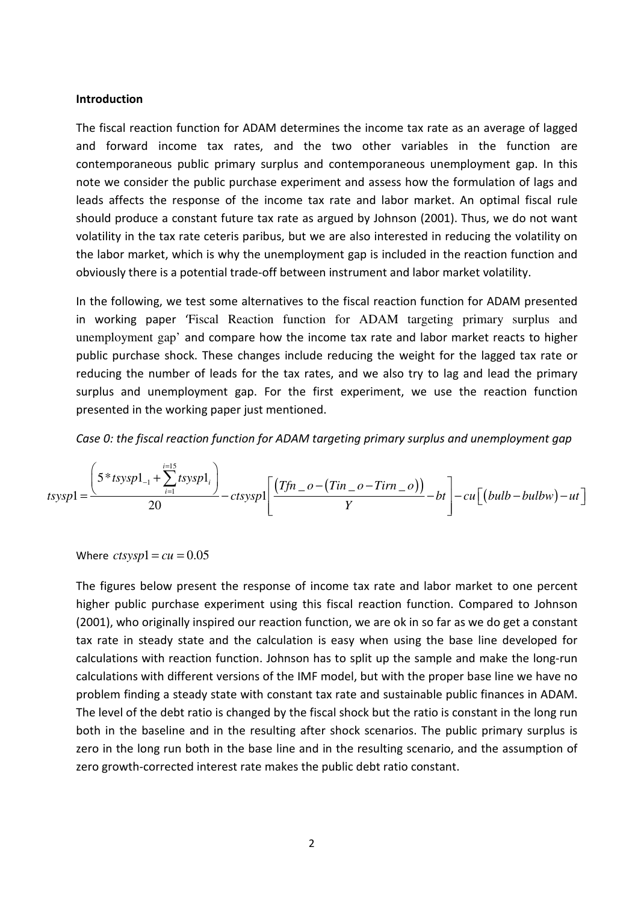#### Introduction

The fiscal reaction function for ADAM determines the income tax rate as an average of lagged and forward income tax rates, and the two other variables in the function are contemporaneous public primary surplus and contemporaneous unemployment gap. In this note we consider the public purchase experiment and assess how the formulation of lags and leads affects the response of the income tax rate and labor market. An optimal fiscal rule should produce a constant future tax rate as argued by Johnson (2001). Thus, we do not want volatility in the tax rate ceteris paribus, but we are also interested in reducing the volatility on the labor market, which is why the unemployment gap is included in the reaction function and obviously there is a potential trade-off between instrument and labor market volatility.

In the following, we test some alternatives to the fiscal reaction function for ADAM presented in working paper 'Fiscal Reaction function for ADAM targeting primary surplus and unemployment gap' and compare how the income tax rate and labor market reacts to higher public purchase shock. These changes include reducing the weight for the lagged tax rate or reducing the number of leads for the tax rates, and we also try to lag and lead the primary surplus and unemployment gap. For the first experiment, we use the reaction function presented in the working paper just mentioned.

Case 0: the fiscal reaction function for ADAM targeting primary surplus and unemployment gap

$$
tsysp1 = \frac{\left(5 * tsysp1_{-1} + \sum_{i=1}^{i=15} tsysp1_i\right)}{20} - ctsysp1 \left[\frac{(Tfn - o - (Tin - o - Tirn - o))}{Y} - bt\right] - cu\left[\left(bulb - bulbw\right) - ut\right]
$$

Where  $ctsysp1 = cu = 0.05$ 

The figures below present the response of income tax rate and labor market to one percent higher public purchase experiment using this fiscal reaction function. Compared to Johnson (2001), who originally inspired our reaction function, we are ok in so far as we do get a constant tax rate in steady state and the calculation is easy when using the base line developed for calculations with reaction function. Johnson has to split up the sample and make the long-run calculations with different versions of the IMF model, but with the proper base line we have no problem finding a steady state with constant tax rate and sustainable public finances in ADAM. The level of the debt ratio is changed by the fiscal shock but the ratio is constant in the long run both in the baseline and in the resulting after shock scenarios. The public primary surplus is zero in the long run both in the base line and in the resulting scenario, and the assumption of zero growth-corrected interest rate makes the public debt ratio constant.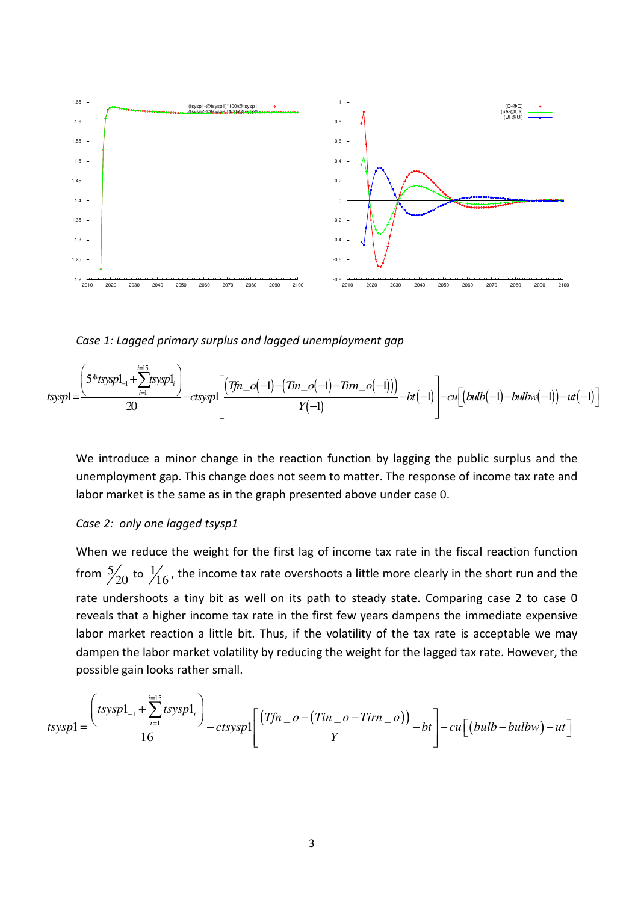

Case 1: Lagged primary surplus and lagged unemployment gap

$$
t \text{sysp1} = \frac{\left(5 * t \text{sysp1}_{-1} + \sum_{i=1}^{i=1} t \text{sysp1}_i\right)}{20} - ct \text{sysp1}\left[\frac{(Tfn_{-}o(-1) - (Ttn_{-}o(-1) - Tirm_{-}o(-1)))}{Y(-1)} - bt(-1)\right] - cu\left[(bulb(-1) - bulbw(-1)) - ut(-1)\right]
$$

We introduce a minor change in the reaction function by lagging the public surplus and the unemployment gap. This change does not seem to matter. The response of income tax rate and labor market is the same as in the graph presented above under case 0.

### Case 2: only one lagged tsysp1

When we reduce the weight for the first lag of income tax rate in the fiscal reaction function from  $\frac{5}{20}$  to  $\frac{1}{16}$ , the income tax rate overshoots a little more clearly in the short run and the rate undershoots a tiny bit as well on its path to steady state. Comparing case 2 to case 0 reveals that a higher income tax rate in the first few years dampens the immediate expensive labor market reaction a little bit. Thus, if the volatility of the tax rate is acceptable we may dampen the labor market volatility by reducing the weight for the lagged tax rate. However, the possible gain looks rather small.

$$
tssysp1 = \frac{\left(tssysp1_{-1} + \sum_{i=1}^{i=15} tssysp1_i\right)}{16} - ctsysp1 \left[\frac{\left(Tfn_{-}o - (Tin_{-}o - Tirn_{-}o)\right)}{Y} - bt\right] - cu\left[\left(bulb - bulbw\right) - ut\right]
$$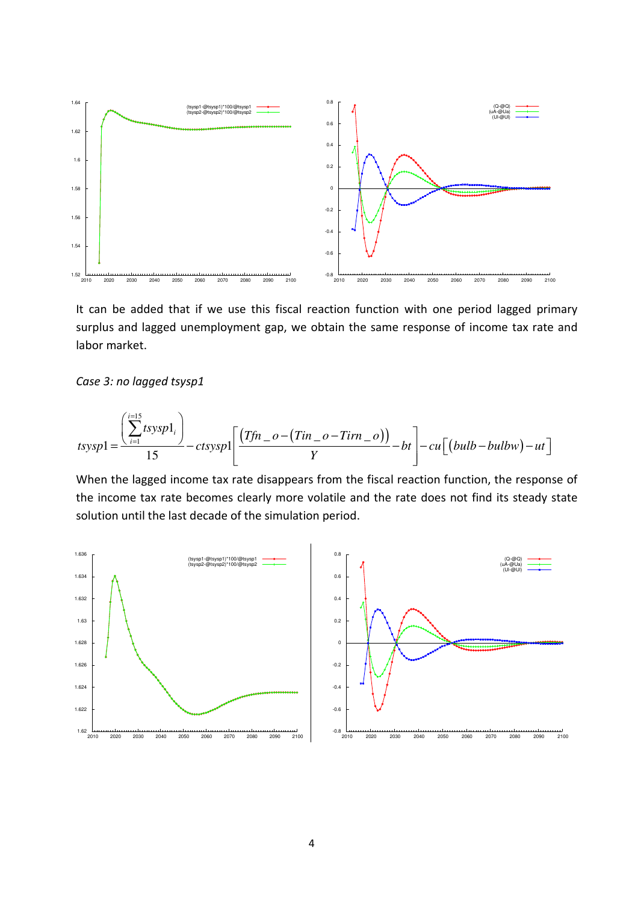

It can be added that if we use this fiscal reaction function with one period lagged primary surplus and lagged unemployment gap, we obtain the same response of income tax rate and labor market.

Case 3: no lagged tsysp1

$$
tssysp1 = \frac{\left(\sum_{i=1}^{i=15} tsysp1_i\right)}{15} - ctsysp1 \left[\frac{(Tfn - o - (Tin - o - Tirn - o))}{Y} - bt\right] - cu \left[\left(bulb - bulbw\right) - ut\right]
$$

When the lagged income tax rate disappears from the fiscal reaction function, the response of the income tax rate becomes clearly more volatile and the rate does not find its steady state solution until the last decade of the simulation period.

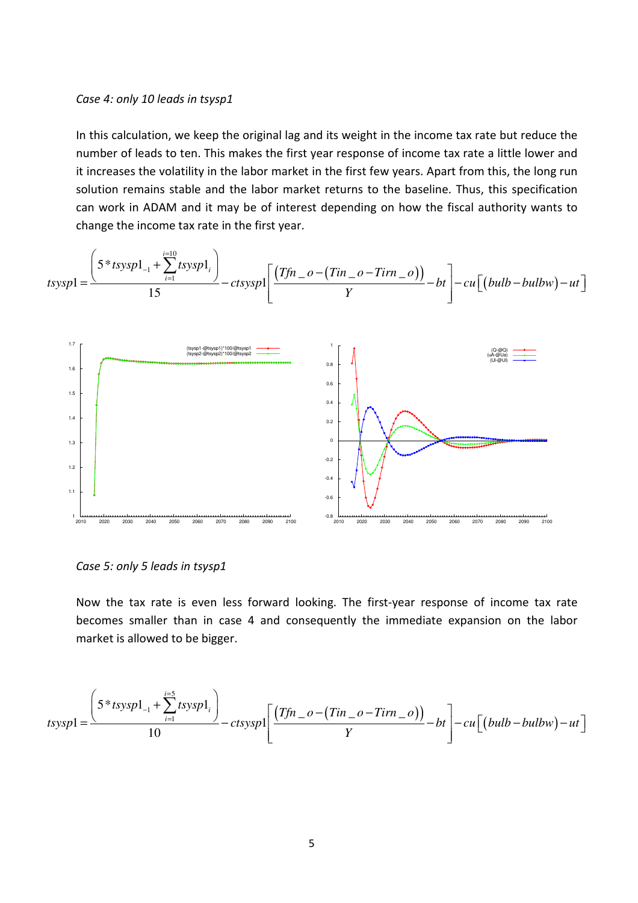#### Case 4: only 10 leads in tsysp1

In this calculation, we keep the original lag and its weight in the income tax rate but reduce the number of leads to ten. This makes the first year response of income tax rate a little lower and it increases the volatility in the labor market in the first few years. Apart from this, the long run solution remains stable and the labor market returns to the baseline. Thus, this specification can work in ADAM and it may be of interest depending on how the fiscal authority wants to change the income tax rate in the first year.

$$
tssysp1 = \frac{\left(5 * tssysp1_{-1} + \sum_{i=1}^{i=10} tssysp1_{i}\right)}{15} - ctsysp1_{1}\left[\frac{(Tfn_{-}o - (Tin_{-}o - Tirn_{-}o))}{Y} - bu\right] - cu\left[(bulb - bulbw) - ut\right]
$$

Case 5: only 5 leads in tsysp1

Now the tax rate is even less forward looking. The first-year response of income tax rate becomes smaller than in case 4 and consequently the immediate expansion on the labor market is allowed to be bigger.

$$
tsysp1 = \frac{\left(5 * tsysp1_{-1} + \sum_{i=1}^{i=5} tsysp1_i\right)}{10} - ctsysp1 \left[\frac{(Tfn - o - (Tin - o - Tirn - o))}{Y} - bt\right] - cu\left[(bulb - bulbw) - ut\right]
$$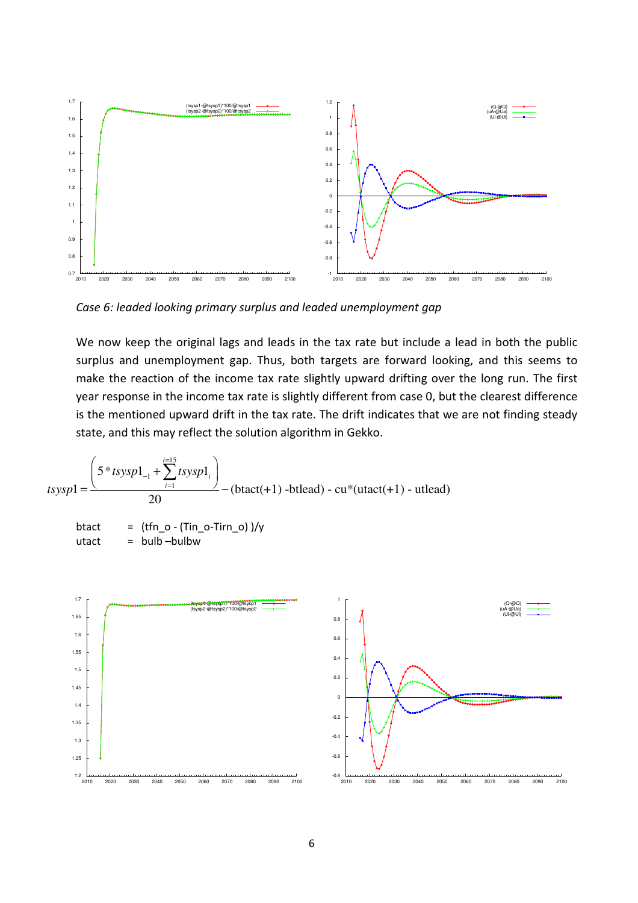

Case 6: leaded looking primary surplus and leaded unemployment gap

We now keep the original lags and leads in the tax rate but include a lead in both the public surplus and unemployment gap. Thus, both targets are forward looking, and this seems to make the reaction of the income tax rate slightly upward drifting over the long run. The first year response in the income tax rate is slightly different from case 0, but the clearest difference is the mentioned upward drift in the tax rate. The drift indicates that we are not finding steady state, and this may reflect the solution algorithm in Gekko.

$$
tsysp1 = \frac{\left(5 * tsysp1_{-1} + \sum_{i=1}^{i=15} tsysp1_i\right)}{20} - (btact(+1) - btlead) - cu*(utact(+1) - utlead)
$$
  
 
$$
btact = (tfn_0 - (Tin_0 - Tirn_0))/y
$$
  
 
$$
utact = bulb -bulbw
$$

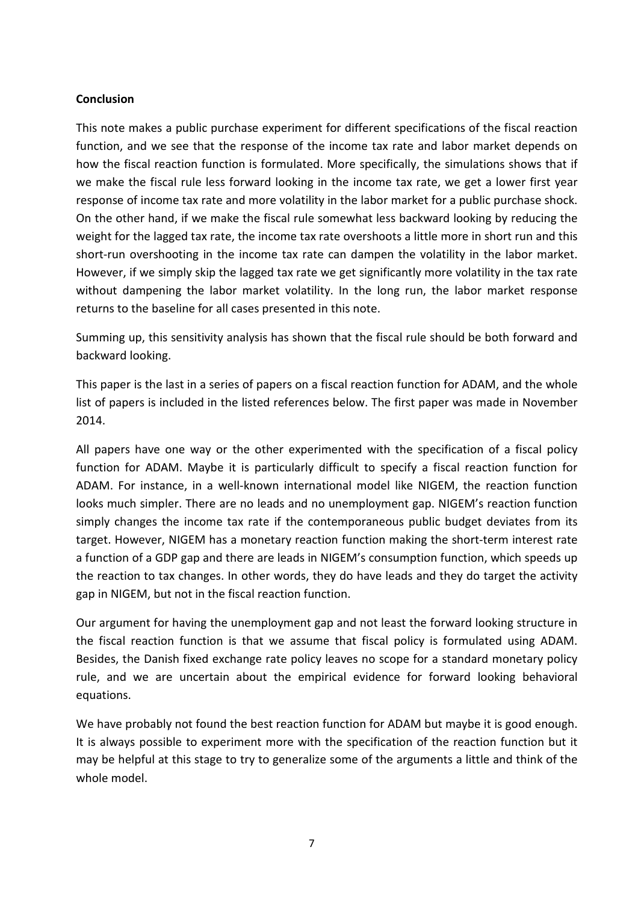# **Conclusion**

This note makes a public purchase experiment for different specifications of the fiscal reaction function, and we see that the response of the income tax rate and labor market depends on how the fiscal reaction function is formulated. More specifically, the simulations shows that if we make the fiscal rule less forward looking in the income tax rate, we get a lower first year response of income tax rate and more volatility in the labor market for a public purchase shock. On the other hand, if we make the fiscal rule somewhat less backward looking by reducing the weight for the lagged tax rate, the income tax rate overshoots a little more in short run and this short-run overshooting in the income tax rate can dampen the volatility in the labor market. However, if we simply skip the lagged tax rate we get significantly more volatility in the tax rate without dampening the labor market volatility. In the long run, the labor market response returns to the baseline for all cases presented in this note.

Summing up, this sensitivity analysis has shown that the fiscal rule should be both forward and backward looking.

This paper is the last in a series of papers on a fiscal reaction function for ADAM, and the whole list of papers is included in the listed references below. The first paper was made in November 2014.

All papers have one way or the other experimented with the specification of a fiscal policy function for ADAM. Maybe it is particularly difficult to specify a fiscal reaction function for ADAM. For instance, in a well-known international model like NIGEM, the reaction function looks much simpler. There are no leads and no unemployment gap. NIGEM's reaction function simply changes the income tax rate if the contemporaneous public budget deviates from its target. However, NIGEM has a monetary reaction function making the short-term interest rate a function of a GDP gap and there are leads in NIGEM's consumption function, which speeds up the reaction to tax changes. In other words, they do have leads and they do target the activity gap in NIGEM, but not in the fiscal reaction function.

Our argument for having the unemployment gap and not least the forward looking structure in the fiscal reaction function is that we assume that fiscal policy is formulated using ADAM. Besides, the Danish fixed exchange rate policy leaves no scope for a standard monetary policy rule, and we are uncertain about the empirical evidence for forward looking behavioral equations.

We have probably not found the best reaction function for ADAM but maybe it is good enough. It is always possible to experiment more with the specification of the reaction function but it may be helpful at this stage to try to generalize some of the arguments a little and think of the whole model.